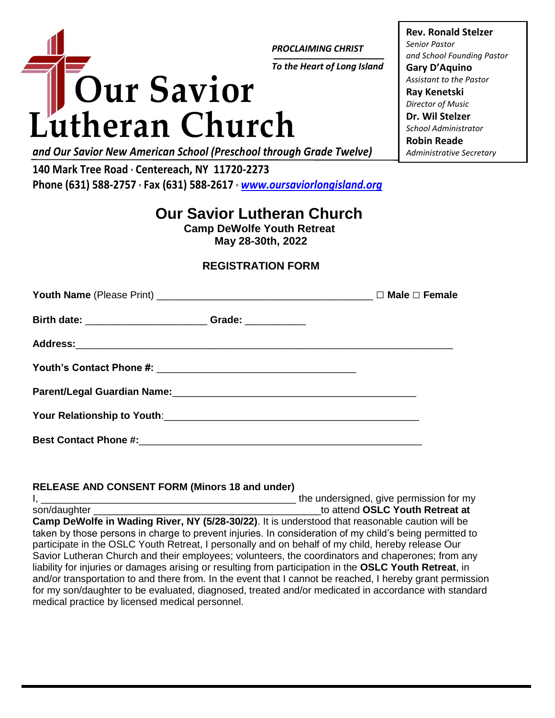

*PROCLAIMING CHRIST*

*To the Heart of Long Island*

**Rev. Ronald Stelzer** *Senior Pastor and School Founding Pastor* **Gary D'Aquino** *Assistant to the Pastor* **Ray Kenetski** *Director of Music* **Dr. Wil Stelzer** *School Administrator* **Robin Reade** *Administrative Secretary*

*and Our Savior New American School (Preschool through Grade Twelve)*

**140 Mark Tree Road <sup>o</sup> Centereach, NY 11720-2273 Phone (631) 588-2757 <sup>o</sup> Fax (631) 588-2617 <sup>o</sup>** *[www.oursaviorlongisland.org](http://www.oursaviorlongisland.org/)*

# **Our Savior Lutheran Church**

**Camp DeWolfe Youth Retreat May 28-30th, 2022**

## **REGISTRATION FORM**

| Youth Name (Please Print) $\frac{1}{\sqrt{1-\frac{1}{2}}}\sqrt{1-\frac{1}{2}}$   |  |
|----------------------------------------------------------------------------------|--|
| Birth date: _______________________________Grade: ______________________________ |  |
|                                                                                  |  |
|                                                                                  |  |
|                                                                                  |  |
|                                                                                  |  |
| <b>Best Contact Phone #:</b>                                                     |  |

#### **RELEASE AND CONSENT FORM (Minors 18 and under)**

I, \_\_\_\_\_\_\_\_\_\_\_\_\_\_\_\_\_\_\_\_\_\_\_\_\_\_\_\_\_\_\_\_\_\_\_\_\_\_\_\_\_\_\_\_\_\_ the undersigned, give permission for my son/daughter **and the son-of-contract of the son-of-contract of the son-of-contract at at at at**   $\sim$  **son-of-contract at**  $\sim$  **son-of-contract at**  $\sim$  **son-of-contract at**   $\sim$  **son-of-contract at**   $\sim$  **solution Camp DeWolfe in Wading River, NY (5/28-30/22)**. It is understood that reasonable caution will be taken by those persons in charge to prevent injuries. In consideration of my child's being permitted to participate in the OSLC Youth Retreat, I personally and on behalf of my child, hereby release Our Savior Lutheran Church and their employees; volunteers, the coordinators and chaperones; from any liability for injuries or damages arising or resulting from participation in the **OSLC Youth Retreat**, in and/or transportation to and there from. In the event that I cannot be reached, I hereby grant permission for my son/daughter to be evaluated, diagnosed, treated and/or medicated in accordance with standard medical practice by licensed medical personnel.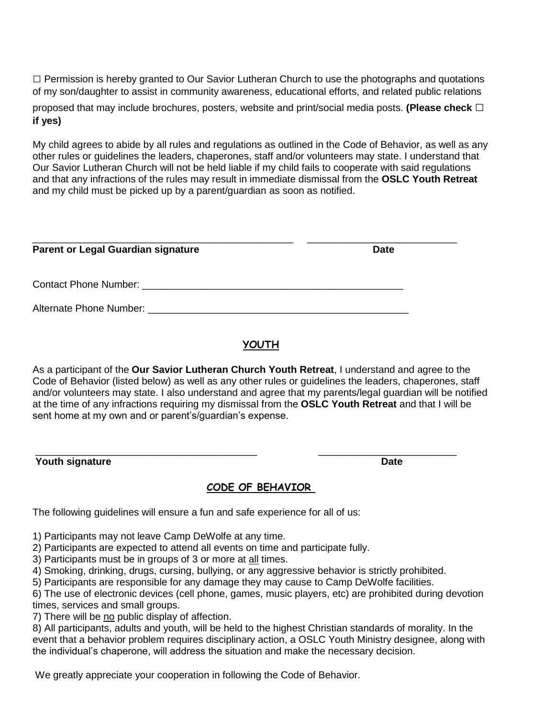**□** Permission is hereby granted to Our Savior Lutheran Church to use the photographs and quotations of my son/daughter to assist in community awareness, educational efforts, and related public relations

proposed that may include brochures, posters, website and print/social media posts. **(Please check □ if yes)**

My child agrees to abide by all rules and regulations as outlined in the Code of Behavior, as well as any other rules or guidelines the leaders, chaperones, staff and/or volunteers may state. I understand that Our Savior Lutheran Church will not be held liable if my child fails to cooperate with said regulations and that any infractions of the rules may result in immediate dismissal from the **OSLC Youth Retreat**  and my child must be picked up by a parent/guardian as soon as notified.

| <b>Parent or Legal Guardian signature</b>                                | <b>Date</b> |
|--------------------------------------------------------------------------|-------------|
|                                                                          |             |
| Alternate Phone Number: Alternative Contract and Alternate Phone Number: |             |

### **YOUTH**

As a participant of the **Our Savior Lutheran Church Youth Retreat**, I understand and agree to the Code of Behavior (listed below) as well as any other rules or guidelines the leaders, chaperones, staff and/or volunteers may state. I also understand and agree that my parents/legal guardian will be notified at the time of any infractions requiring my dismissal from the **OSLC Youth Retreat** and that I will be sent home at my own and or parent's/guardian's expense.

\_\_\_\_\_\_\_\_\_\_\_\_\_\_\_\_\_\_\_\_\_\_\_\_\_\_\_\_\_\_\_\_\_\_\_\_\_\_\_\_ \_\_\_\_\_\_\_\_\_\_\_\_\_\_\_\_\_\_\_\_\_\_\_\_\_ **Youth signature Date**

#### **CODE OF BEHAVIOR**

The following guidelines will ensure a fun and safe experience for all of us:

1) Participants may not leave Camp DeWolfe at any time.

2) Participants are expected to attend all events on time and participate fully.

3) Participants must be in groups of 3 or more at all times.

4) Smoking, drinking, drugs, cursing, bullying, or any aggressive behavior is strictly prohibited.

5) Participants are responsible for any damage they may cause to Camp DeWolfe facilities.

6) The use of electronic devices (cell phone, games, music players, etc) are prohibited during devotion times, services and small groups.

7) There will be no public display of affection.

8) All participants, adults and youth, will be held to the highest Christian standards of morality. In the event that a behavior problem requires disciplinary action, a OSLC Youth Ministry designee, along with the individual's chaperone, will address the situation and make the necessary decision.

We greatly appreciate your cooperation in following the Code of Behavior.